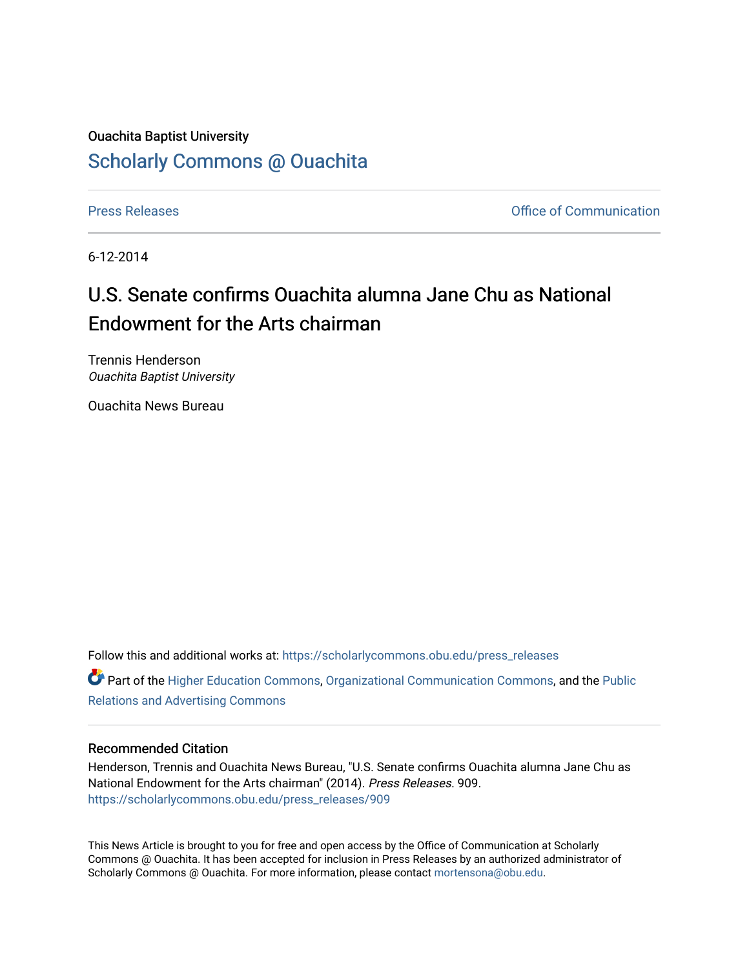## Ouachita Baptist University [Scholarly Commons @ Ouachita](https://scholarlycommons.obu.edu/)

[Press Releases](https://scholarlycommons.obu.edu/press_releases) **Press Releases Communication** 

6-12-2014

## U.S. Senate confirms Ouachita alumna Jane Chu as National Endowment for the Arts chairman

Trennis Henderson Ouachita Baptist University

Ouachita News Bureau

Follow this and additional works at: [https://scholarlycommons.obu.edu/press\\_releases](https://scholarlycommons.obu.edu/press_releases?utm_source=scholarlycommons.obu.edu%2Fpress_releases%2F909&utm_medium=PDF&utm_campaign=PDFCoverPages)

**P** Part of the [Higher Education Commons,](http://network.bepress.com/hgg/discipline/1245?utm_source=scholarlycommons.obu.edu%2Fpress_releases%2F909&utm_medium=PDF&utm_campaign=PDFCoverPages) [Organizational Communication Commons,](http://network.bepress.com/hgg/discipline/335?utm_source=scholarlycommons.obu.edu%2Fpress_releases%2F909&utm_medium=PDF&utm_campaign=PDFCoverPages) and the [Public](http://network.bepress.com/hgg/discipline/336?utm_source=scholarlycommons.obu.edu%2Fpress_releases%2F909&utm_medium=PDF&utm_campaign=PDFCoverPages) [Relations and Advertising Commons](http://network.bepress.com/hgg/discipline/336?utm_source=scholarlycommons.obu.edu%2Fpress_releases%2F909&utm_medium=PDF&utm_campaign=PDFCoverPages) 

## Recommended Citation

Henderson, Trennis and Ouachita News Bureau, "U.S. Senate confirms Ouachita alumna Jane Chu as National Endowment for the Arts chairman" (2014). Press Releases. 909. [https://scholarlycommons.obu.edu/press\\_releases/909](https://scholarlycommons.obu.edu/press_releases/909?utm_source=scholarlycommons.obu.edu%2Fpress_releases%2F909&utm_medium=PDF&utm_campaign=PDFCoverPages)

This News Article is brought to you for free and open access by the Office of Communication at Scholarly Commons @ Ouachita. It has been accepted for inclusion in Press Releases by an authorized administrator of Scholarly Commons @ Ouachita. For more information, please contact [mortensona@obu.edu](mailto:mortensona@obu.edu).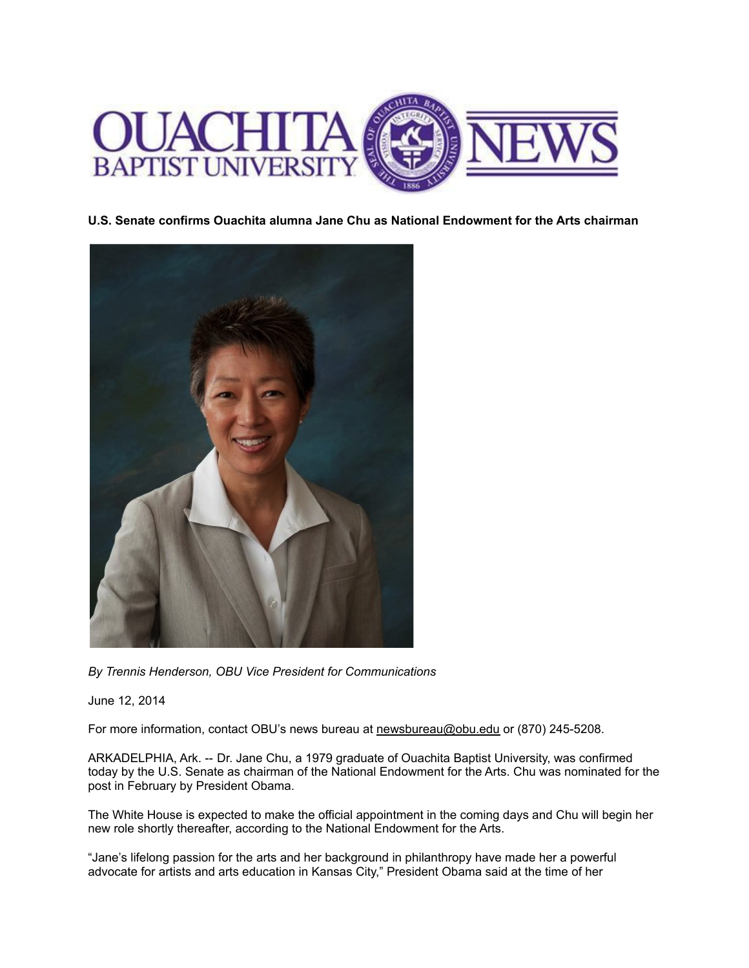

**U.S. Senate confirms Ouachita alumna Jane Chu as National Endowment for the Arts chairman**



*By Trennis Henderson, OBU Vice President for Communications*

June 12, 2014

For more information, contact OBU's news bureau at [newsbureau@obu.edu](mailto:newsbureau@obu.edu) or (870) 245-5208.

ARKADELPHIA, Ark. -- Dr. Jane Chu, a 1979 graduate of Ouachita Baptist University, was confirmed today by the U.S. Senate as chairman of the National Endowment for the Arts. Chu was nominated for the post in February by President Obama.

The White House is expected to make the official appointment in the coming days and Chu will begin her new role shortly thereafter, according to the National Endowment for the Arts.

"Jane's lifelong passion for the arts and her background in philanthropy have made her a powerful advocate for artists and arts education in Kansas City," President Obama said at the time of her